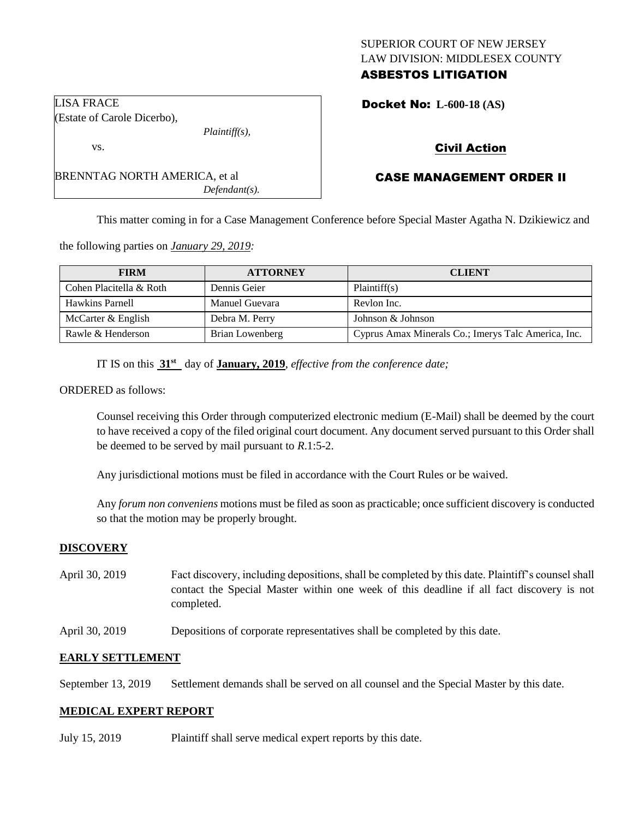## SUPERIOR COURT OF NEW JERSEY LAW DIVISION: MIDDLESEX COUNTY ASBESTOS LITIGATION

Docket No: **L-600-18 (AS)** 

# Civil Action

## CASE MANAGEMENT ORDER II

This matter coming in for a Case Management Conference before Special Master Agatha N. Dzikiewicz and

the following parties on *January 29, 2019:*

BRENNTAG NORTH AMERICA, et al

| <b>FIRM</b>             | <b>ATTORNEY</b> | <b>CLIENT</b>                                       |
|-------------------------|-----------------|-----------------------------------------------------|
| Cohen Placitella & Roth | Dennis Geier    | Plaintiff(s)                                        |
| Hawkins Parnell         | Manuel Guevara  | Revlon Inc.                                         |
| McCarter & English      | Debra M. Perry  | Johnson & Johnson                                   |
| Rawle & Henderson       | Brian Lowenberg | Cyprus Amax Minerals Co.; Imerys Talc America, Inc. |

IT IS on this **31st** day of **January, 2019**, *effective from the conference date;*

*Plaintiff(s),*

*Defendant(s).*

ORDERED as follows:

LISA FRACE

vs.

(Estate of Carole Dicerbo),

Counsel receiving this Order through computerized electronic medium (E-Mail) shall be deemed by the court to have received a copy of the filed original court document. Any document served pursuant to this Order shall be deemed to be served by mail pursuant to *R*.1:5-2.

Any jurisdictional motions must be filed in accordance with the Court Rules or be waived.

Any *forum non conveniens* motions must be filed as soon as practicable; once sufficient discovery is conducted so that the motion may be properly brought.

#### **DISCOVERY**

- April 30, 2019 Fact discovery, including depositions, shall be completed by this date. Plaintiff's counsel shall contact the Special Master within one week of this deadline if all fact discovery is not completed.
- April 30, 2019 Depositions of corporate representatives shall be completed by this date.

#### **EARLY SETTLEMENT**

September 13, 2019 Settlement demands shall be served on all counsel and the Special Master by this date.

#### **MEDICAL EXPERT REPORT**

July 15, 2019 Plaintiff shall serve medical expert reports by this date.